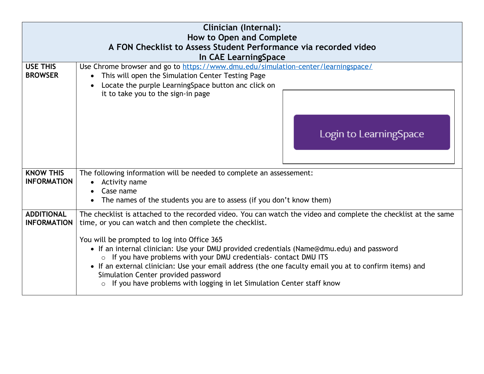| <b>Clinician (Internal):</b><br>How to Open and Complete<br>A FON Checklist to Assess Student Performance via recorded video<br>In CAE LearningSpace |                                                                                                                                                                                                                                                                                                                                                                                                                                                                                                                                                                                                                                  |  |
|------------------------------------------------------------------------------------------------------------------------------------------------------|----------------------------------------------------------------------------------------------------------------------------------------------------------------------------------------------------------------------------------------------------------------------------------------------------------------------------------------------------------------------------------------------------------------------------------------------------------------------------------------------------------------------------------------------------------------------------------------------------------------------------------|--|
| <b>USE THIS</b><br><b>BROWSER</b>                                                                                                                    | Use Chrome browser and go to https://www.dmu.edu/simulation-center/learningspace/<br>This will open the Simulation Center Testing Page<br>Locate the purple LearningSpace button anc click on<br>it to take you to the sign-in page<br>Login to LearningSpace                                                                                                                                                                                                                                                                                                                                                                    |  |
| <b>KNOW THIS</b><br><b>INFORMATION</b>                                                                                                               | The following information will be needed to complete an assessement:<br>Activity name<br>Case name<br>The names of the students you are to assess (if you don't know them)                                                                                                                                                                                                                                                                                                                                                                                                                                                       |  |
| <b>ADDITIONAL</b><br><b>INFORMATION</b>                                                                                                              | The checklist is attached to the recorded video. You can watch the video and complete the checklist at the same<br>time, or you can watch and then complete the checklist.<br>You will be prompted to log into Office 365<br>• If an internal clinician: Use your DMU provided credentials (Name@dmu.edu) and password<br>o If you have problems with your DMU credentials- contact DMU ITS<br>• If an external clinician: Use your email address (the one faculty email you at to confirm items) and<br>Simulation Center provided password<br>If you have problems with logging in let Simulation Center staff know<br>$\circ$ |  |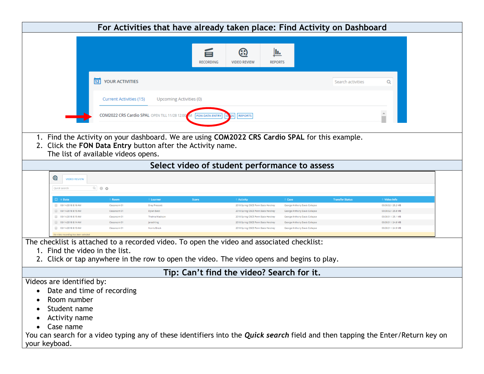| For Activities that have already taken place: Find Activity on Dashboard                                                                                                                                                                                                                                   |  |  |  |
|------------------------------------------------------------------------------------------------------------------------------------------------------------------------------------------------------------------------------------------------------------------------------------------------------------|--|--|--|
|                                                                                                                                                                                                                                                                                                            |  |  |  |
| Jı.<br>旨<br>ඹ<br><b>RECORDING</b><br><b>VIDEO REVIEW</b><br><b>REPORTS</b>                                                                                                                                                                                                                                 |  |  |  |
| YOUR ACTIVITIES<br>12<br>Q<br>Search activities                                                                                                                                                                                                                                                            |  |  |  |
| Current Activities (15)<br>Upcoming Activities (0)                                                                                                                                                                                                                                                         |  |  |  |
| COM2022 CRS Cardio SPAL OPEN TILL 11/28 12:00<br><b>REPORTS</b><br>FON DATA ENTRY                                                                                                                                                                                                                          |  |  |  |
| 1. Find the Activity on your dashboard. We are using COM2022 CRS Cardio SPAL for this example.<br>2. Click the FON Data Entry button after the Activity name.<br>The list of available videos opens.                                                                                                       |  |  |  |
| Select video of student performance to assess                                                                                                                                                                                                                                                              |  |  |  |
| ☺<br><b>VIDEO REVIEW</b>                                                                                                                                                                                                                                                                                   |  |  |  |
| $Q_0$ $Q_2$<br>Quick search                                                                                                                                                                                                                                                                                |  |  |  |
| <b>Score</b><br>Video Info<br>$\Box \div$ Date<br><b>Room</b><br><b>Learner</b><br><b>Activity</b><br><b>Case</b><br><b>Transfer Status</b>                                                                                                                                                                |  |  |  |
| 00:00:32 / 25.2 MB<br>03/14/2018 8:16 AM<br>Classroom 01<br><b>Dray Prescott</b><br>2018 Spring OSCE Penn State Hershey<br>George Anthony Davis Collapse                                                                                                                                                   |  |  |  |
| 00:00:32 / 25.8 MB<br>03/14/2018 8:15 AM<br>Classroom 01<br>Dylan Baldi<br>George Anthony Davis Collapse<br>2018 Spring OSCE Penn State Hershey                                                                                                                                                            |  |  |  |
| 03/14/2018 8:15 AM<br><b>Thelma Madisor</b><br>00:00:31 / 25.1 MB<br>Classroom 01<br>2018 Spring OSCE Penn State Hershe<br>George Anthony Davis Collapse<br>03/14/2018 8:14 AM<br>00:00:31 / 24.8 MB<br>Classroom 01<br>Jared King<br>2018 Spring OSCE Penn State Hershey<br>George Anthony Davis Collapse |  |  |  |
| 03/14/2018 8:13 AM<br>Classroom 01<br>Norris Brock<br>00:00:31 / 24.9 MB<br>2018 Spring OSCE Penn State Hershey<br>George Anthony Davis Collapse                                                                                                                                                           |  |  |  |
| No video recording has been selected                                                                                                                                                                                                                                                                       |  |  |  |
| The checklist is attached to a recorded video. To open the video and associated checklist:<br>1. Find the video in the list.<br>2. Click or tap anywhere in the row to open the video. The video opens and begins to play.                                                                                 |  |  |  |
| Tip: Can't find the video? Search for it.                                                                                                                                                                                                                                                                  |  |  |  |
| Videos are identified by:                                                                                                                                                                                                                                                                                  |  |  |  |
| Date and time of recording<br>٠                                                                                                                                                                                                                                                                            |  |  |  |
|                                                                                                                                                                                                                                                                                                            |  |  |  |
| Room number                                                                                                                                                                                                                                                                                                |  |  |  |
| Student name                                                                                                                                                                                                                                                                                               |  |  |  |
| <b>Activity name</b>                                                                                                                                                                                                                                                                                       |  |  |  |
| Case name                                                                                                                                                                                                                                                                                                  |  |  |  |
| You can search for a video typing any of these identifiers into the Quick search field and then tapping the Enter/Return key on                                                                                                                                                                            |  |  |  |
| your keyboad.                                                                                                                                                                                                                                                                                              |  |  |  |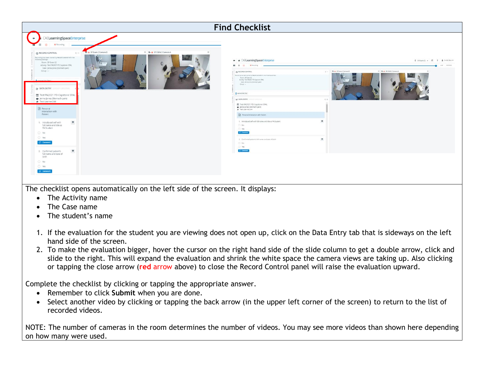

- 1. If the evaluation for the student you are viewing does not open up, click on the Data Entry tab that is sideways on the left hand side of the screen.
- 2. To make the evaluation bigger, hover the cursor on the right hand side of the slide column to get a double arrow, click and slide to the right. This will expand the evaluation and shrink the white space the camera views are taking up. Also clicking or tapping the close arrow (**red** arrow above) to close the Record Control panel will raise the evaluation upward.

Complete the checklist by clicking or tapping the appropriate answer.

- Remember to click **Submit** when you are done.
- Select another video by clicking or tapping the back arrow (in the upper left corner of the screen) to return to the list of recorded videos.

NOTE: The number of cameras in the room determines the number of videos. You may see more videos than shown here depending on how many were used.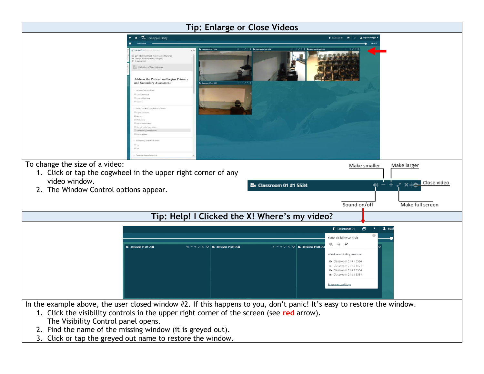

3. Click or tap the greyed out name to restore the window.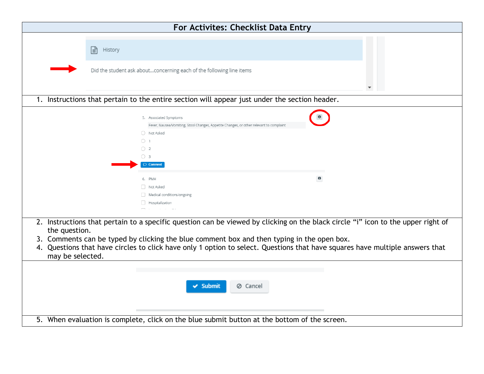| For Activites: Checklist Data Entry                                                                                                                                                                                                                                                                                                                                                                    |
|--------------------------------------------------------------------------------------------------------------------------------------------------------------------------------------------------------------------------------------------------------------------------------------------------------------------------------------------------------------------------------------------------------|
|                                                                                                                                                                                                                                                                                                                                                                                                        |
| 固<br>History                                                                                                                                                                                                                                                                                                                                                                                           |
|                                                                                                                                                                                                                                                                                                                                                                                                        |
| Did the student ask aboutconcerning each of the following line items                                                                                                                                                                                                                                                                                                                                   |
|                                                                                                                                                                                                                                                                                                                                                                                                        |
| 1. Instructions that pertain to the entire section will appear just under the section header.                                                                                                                                                                                                                                                                                                          |
| 5. Associated Symptoms                                                                                                                                                                                                                                                                                                                                                                                 |
| Fever, Nausea/Vomiting, Stool Changes, Appetite Changes, or other relevant to complaint                                                                                                                                                                                                                                                                                                                |
| O Not Asked                                                                                                                                                                                                                                                                                                                                                                                            |
| $\bigcirc$ 1                                                                                                                                                                                                                                                                                                                                                                                           |
| $\bigcirc$ 2                                                                                                                                                                                                                                                                                                                                                                                           |
| $\bigcirc$ 3<br>$\circledcirc$ Comment                                                                                                                                                                                                                                                                                                                                                                 |
|                                                                                                                                                                                                                                                                                                                                                                                                        |
| $\bf{0}$<br>6. PMH                                                                                                                                                                                                                                                                                                                                                                                     |
| Not Asked                                                                                                                                                                                                                                                                                                                                                                                              |
| Medical conditions/ongoing<br>Hospitalization                                                                                                                                                                                                                                                                                                                                                          |
|                                                                                                                                                                                                                                                                                                                                                                                                        |
| 2. Instructions that pertain to a specific question can be viewed by clicking on the black circle "i" icon to the upper right of<br>the question.<br>3. Comments can be typed by clicking the blue comment box and then typing in the open box.<br>Questions that have circles to click have only 1 option to select. Questions that have squares have multiple answers that<br>4.<br>may be selected. |
| $\checkmark$ Submit<br>⊘ Cancel                                                                                                                                                                                                                                                                                                                                                                        |
| 5. When evaluation is complete, click on the blue submit button at the bottom of the screen.                                                                                                                                                                                                                                                                                                           |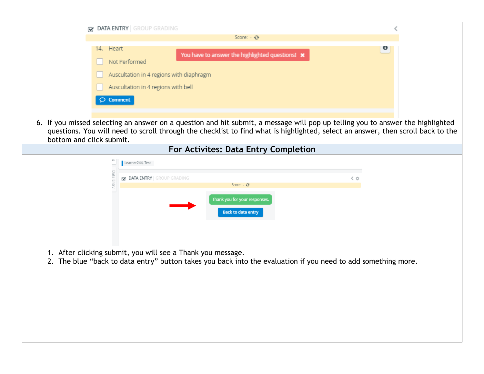